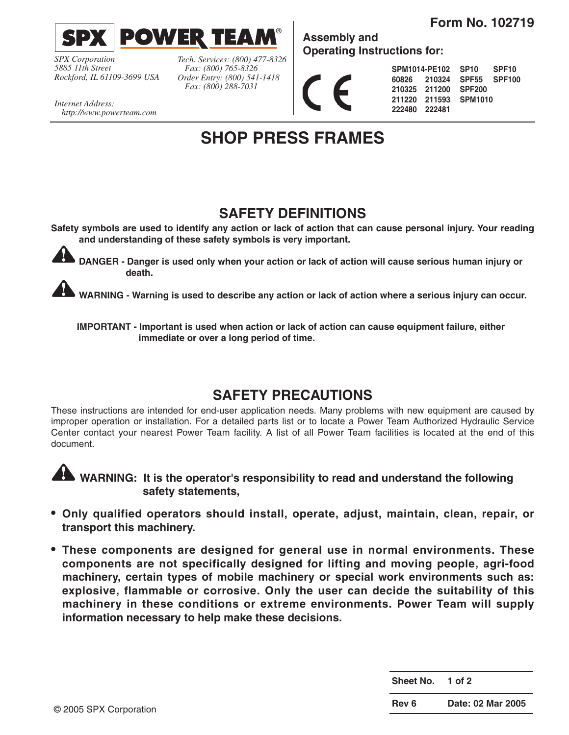**Form No. 102719**



*SPX Corporation 5885 11th Street Rockford, IL 61109-3699 USA* *Tech. Services: (800) 477-8326 Fax: (800) 765-8326 Order Entry: (800) 541-1418 Fax: (800) 288-7031*

**Assembly and Operating Instructions for:**

**SPM1014-PE102 60826 210324 210325 211200 SPF200 211220 211593 SPM1010 222480 222481 SP10 SPF10 SPF55 SPF100**

*Internet Address: http://www.powerteam.com*

## **SHOP PRESS FRAMES**

### **SAFETY DEFINITIONS**

**Safety symbols are used to identify any action or lack of action that can cause personal injury. Your reading and understanding of these safety symbols is very important.**



**DANGER - Danger is used only when your action or lack of action will cause serious human injury or death.**

**WARNING - Warning is used to describe any action or lack of action where a serious injury can occur.**

**IMPORTANT - Important is used when action or lack of action can cause equipment failure, either immediate or over a long period of time.**

### **SAFETY PRECAUTIONS**

These instructions are intended for end-user application needs. Many problems with new equipment are caused by improper operation or installation. For a detailed parts list or to locate a Power Team Authorized Hydraulic Service Center contact your nearest Power Team facility. A list of all Power Team facilities is located at the end of this document.



**WARNING: It is the operator's responsibility to read and understand the following safety statements,**

- **• Only qualified operators should install, operate, adjust, maintain, clean, repair, or transport this machinery.**
- **• These components are designed for general use in normal environments. These components are not specifically designed for lifting and moving people, agri-food machinery, certain types of mobile machinery or special work environments such as: explosive, flammable or corrosive. Only the user can decide the suitability of this machinery in these conditions or extreme environments. Power Team will supply information necessary to help make these decisions.**

**Sheet No. 1 of 2**

**Rev 6 Date: 02 Mar 2005**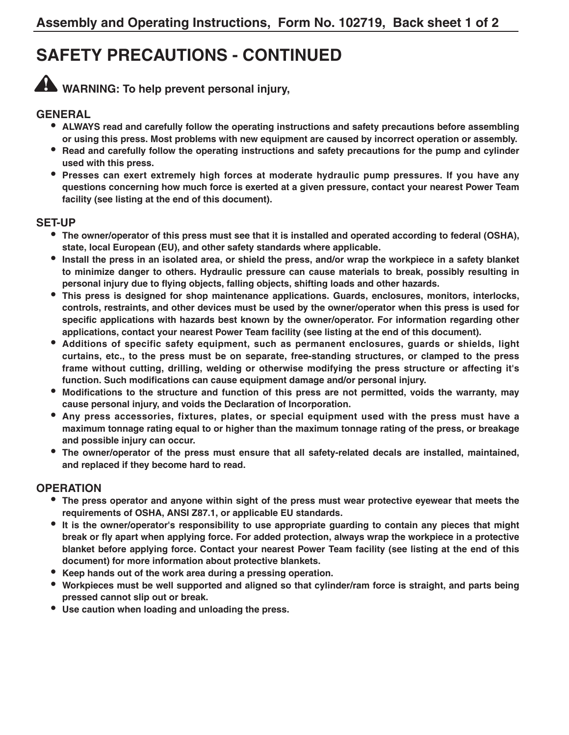## **SAFETY PRECAUTIONS - CONTINUED**



**WARNING: To help prevent personal injury,**

#### **GENERAL**

- **• ALWAYS read and carefully follow the operating instructions and safety precautions before assembling or using this press. Most problems with new equipment are caused by incorrect operation or assembly.**
- **• Read and carefully follow the operating instructions and safety precautions for the pump and cylinder used with this press.**
- **• Presses can exert extremely high forces at moderate hydraulic pump pressures. If you have any questions concerning how much force is exerted at a given pressure, contact your nearest Power Team facility (see listing at the end of this document).**

#### **SET-UP**

- **• The owner/operator of this press must see that it is installed and operated according to federal (OSHA), state, local European (EU), and other safety standards where applicable.**
- **• Install the press in an isolated area, or shield the press, and/or wrap the workpiece in a safety blanket to minimize danger to others. Hydraulic pressure can cause materials to break, possibly resulting in personal injury due to flying objects, falling objects, shifting loads and other hazards.**
- **• This press is designed for shop maintenance applications. Guards, enclosures, monitors, interlocks, controls, restraints, and other devices must be used by the owner/operator when this press is used for specific applications with hazards best known by the owner/operator. For information regarding other applications, contact your nearest Power Team facility (see listing at the end of this document).**
- **• Additions of specific safety equipment, such as permanent enclosures, guards or shields, light curtains, etc., to the press must be on separate, free-standing structures, or clamped to the press frame without cutting, drilling, welding or otherwise modifying the press structure or affecting it's function. Such modifications can cause equipment damage and/or personal injury.**
- **• Modifications to the structure and function of this press are not permitted, voids the warranty, may cause personal injury, and voids the Declaration of Incorporation.**
- **• Any press accessories, fixtures, plates, or special equipment used with the press must have a maximum tonnage rating equal to or higher than the maximum tonnage rating of the press, or breakage and possible injury can occur.**
- **• The owner/operator of the press must ensure that all safety-related decals are installed, maintained, and replaced if they become hard to read.**

#### **OPERATION**

- **• The press operator and anyone within sight of the press must wear protective eyewear that meets the requirements of OSHA, ANSI Z87.1, or applicable EU standards.**
- **• It is the owner/operator's responsibility to use appropriate guarding to contain any pieces that might break or fly apart when applying force. For added protection, always wrap the workpiece in a protective blanket before applying force. Contact your nearest Power Team facility (see listing at the end of this document) for more information about protective blankets.**
- **• Keep hands out of the work area during a pressing operation.**
- **• Workpieces must be well supported and aligned so that cylinder/ram force is straight, and parts being pressed cannot slip out or break.**
- **• Use caution when loading and unloading the press.**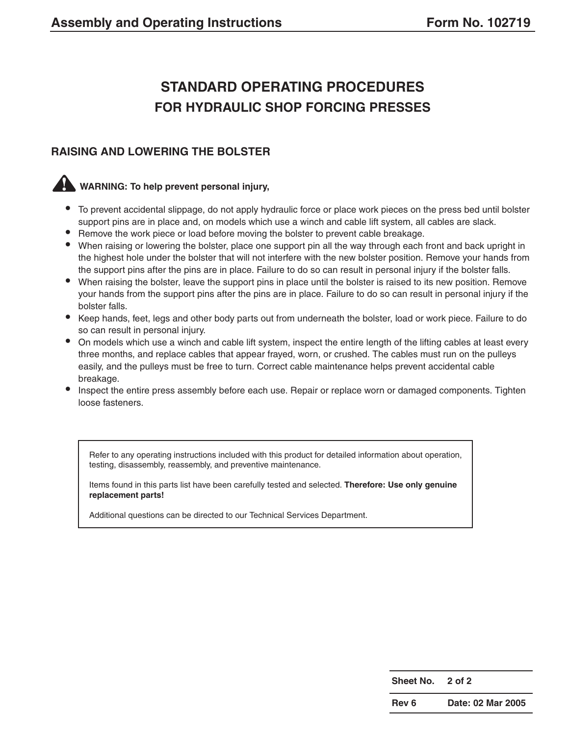## **STANDARD OPERATING PROCEDURES FOR HYDRAULIC SHOP FORCING PRESSES**

#### **RAISING AND LOWERING THE BOLSTER**

#### **WARNING: To help prevent personal injury,**

- **•** To prevent accidental slippage, do not apply hydraulic force or place work pieces on the press bed until bolster support pins are in place and, on models which use a winch and cable lift system, all cables are slack.
- **•** Remove the work piece or load before moving the bolster to prevent cable breakage.
- **•** When raising or lowering the bolster, place one support pin all the way through each front and back upright in the highest hole under the bolster that will not interfere with the new bolster position. Remove your hands from the support pins after the pins are in place. Failure to do so can result in personal injury if the bolster falls.
- **•** When raising the bolster, leave the support pins in place until the bolster is raised to its new position. Remove your hands from the support pins after the pins are in place. Failure to do so can result in personal injury if the bolster falls.
- **•** Keep hands, feet, legs and other body parts out from underneath the bolster, load or work piece. Failure to do so can result in personal injury.
- **•** On models which use a winch and cable lift system, inspect the entire length of the lifting cables at least every three months, and replace cables that appear frayed, worn, or crushed. The cables must run on the pulleys easily, and the pulleys must be free to turn. Correct cable maintenance helps prevent accidental cable breakage.
- Inspect the entire press assembly before each use. Repair or replace worn or damaged components. Tighten loose fasteners.

Refer to any operating instructions included with this product for detailed information about operation, testing, disassembly, reassembly, and preventive maintenance.

Items found in this parts list have been carefully tested and selected. **Therefore: Use only genuine replacement parts!**

Additional questions can be directed to our Technical Services Department.

| <b>Sheet No.</b> | 2 of 2 |  |
|------------------|--------|--|
|                  |        |  |

**Rev 6 Date: 02 Mar 2005**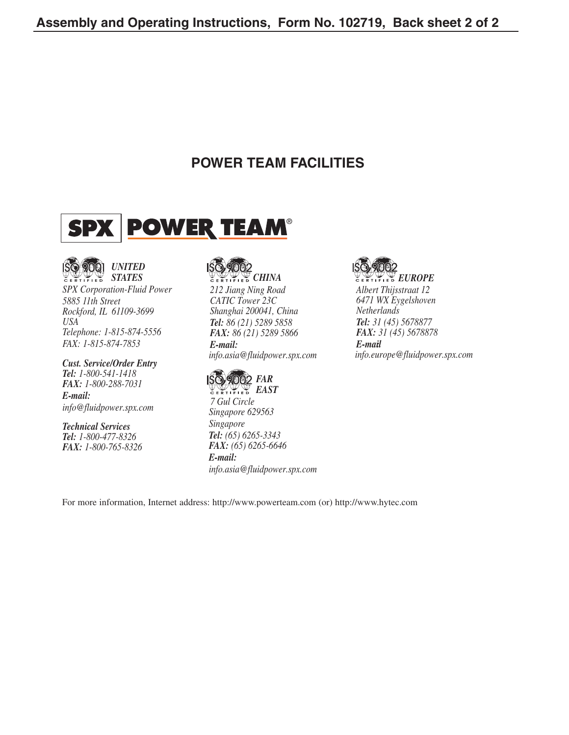### **POWER TEAM FACILITIES**





*SPX Corporation-Fluid Power 5885 11th Street Rockford, IL 61109-3699 USA Telephone: 1-815-874-5556 FAX: 1-815-874-7853*

*Cust. Service/Order Entry Tel: 1-800-541-1418 FAX: 1-800-288-7031 E-mail: info@fluidpower.spx.com*

*Technical Services Tel: 1-800-477-8326 FAX: 1-800-765-8326*

# **CERTIFIED** *CHINA*

*212 Jiang Ning Road CATIC Tower 23C Shanghai 200041, China Tel: 86 (21) 5289 5858 FAX: 86 (21) 5289 5866*

*E-mail: info.asia@fluidpower.spx.com*



*7 Gul Circle Singapore 629563 Singapore Tel: (65) 6265-3343 FAX: (65) 6265-6646 E-mail: info.asia@fluidpower.spx.com*



*EUROPE Albert Thijsstraat 12 6471 WX Eygelshoven Netherlands Tel: 31 (45) 5678877 FAX: 31 (45) 5678878 E-mail: info.europe@fluidpower.spx.com*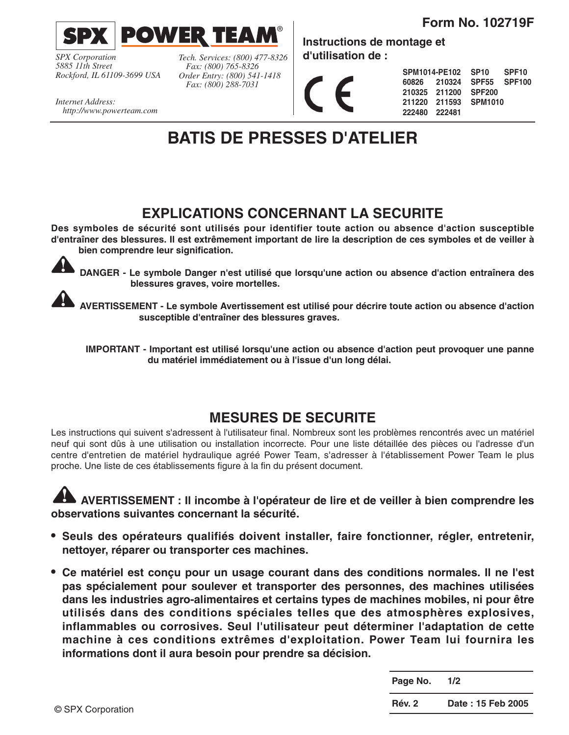**Form No. 102719F**



*SPX Corporation 5885 11th Street Rockford, IL 61109-3699 USA*

*Tech. Services: (800) 477-8326 Fax: (800) 765-8326 Order Entry: (800) 541-1418 Fax: (800) 288-7031*

**Instructions de montage et d'utilisation de :**

| SPM1014-PE102 SP10 SPF10 |                      |                           |  |
|--------------------------|----------------------|---------------------------|--|
|                          |                      | 60826 210324 SPF55 SPF100 |  |
|                          | 210325 211200 SPF200 |                           |  |
|                          |                      | 211220 211593 SPM1010     |  |
| 222480 222481            |                      |                           |  |

*Internet Address: http://www.powerteam.com*

## **BATIS DE PRESSES D'ATELIER**

## **EXPLICATIONS CONCERNANT LA SECURITE**

**Des symboles de sécurité sont utilisés pour identifier toute action ou absence d'action susceptible d'entraîner des blessures. Il est extrêmement important de lire la description de ces symboles et de veiller à bien comprendre leur signification.**



**DANGER - Le symbole Danger n'est utilisé que lorsqu'une action ou absence d'action entraînera des blessures graves, voire mortelles.**

**AVERTISSEMENT - Le symbole Avertissement est utilisé pour décrire toute action ou absence d'action susceptible d'entraîner des blessures graves.**

**IMPORTANT - Important est utilisé lorsqu'une action ou absence d'action peut provoquer une panne du matériel immédiatement ou à l'issue d'un long délai.**

### **MESURES DE SECURITE**

Les instructions qui suivent s'adressent à l'utilisateur final. Nombreux sont les problèmes rencontrés avec un matériel neuf qui sont dûs à une utilisation ou installation incorrecte. Pour une liste détaillée des pièces ou l'adresse d'un centre d'entretien de matériel hydraulique agréé Power Team, s'adresser à l'établissement Power Team le plus proche. Une liste de ces établissements figure à la fin du présent document.

**AVERTISSEMENT : Il incombe à l'opérateur de lire et de veiller à bien comprendre les observations suivantes concernant la sécurité.**

- **• Seuls des opérateurs qualifiés doivent installer, faire fonctionner, régler, entretenir, nettoyer, réparer ou transporter ces machines.**
- **• Ce matériel est conçu pour un usage courant dans des conditions normales. Il ne l'est pas spécialement pour soulever et transporter des personnes, des machines utilisées dans les industries agro-alimentaires et certains types de machines mobiles, ni pour être utilisés dans des conditions spéciales telles que des atmosphères explosives, inflammables ou corrosives. Seul l'utilisateur peut déterminer l'adaptation de cette machine à ces conditions extrêmes d'exploitation. Power Team lui fournira les informations dont il aura besoin pour prendre sa décision.**

| Page No. | 1/2               |
|----------|-------------------|
| Rév. 2   | Date: 15 Feb 2005 |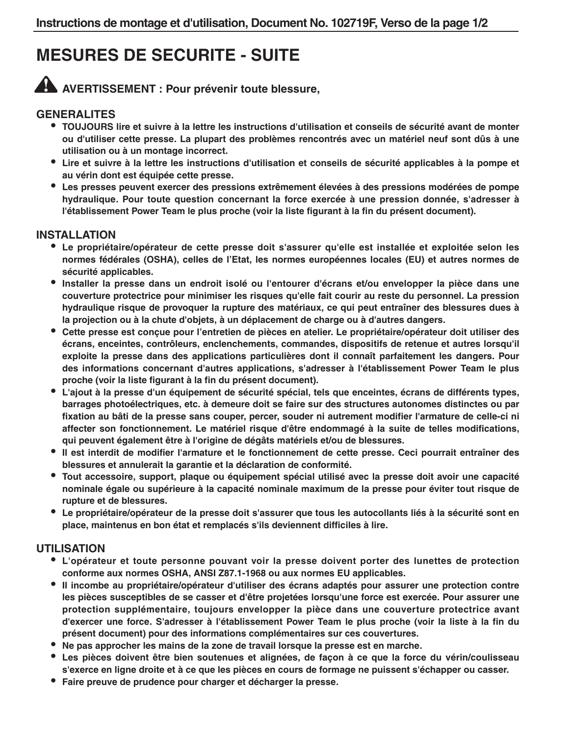## **MESURES DE SECURITE - SUITE**

**AVERTISSEMENT : Pour prévenir toute blessure,**

#### **GENERALITES**

- **• TOUJOURS lire et suivre à la lettre les instructions d'utilisation et conseils de sécurité avant de monter ou d'utiliser cette presse. La plupart des problèmes rencontrés avec un matériel neuf sont dûs à une utilisation ou à un montage incorrect.**
- **• Lire et suivre à la lettre les instructions d'utilisation et conseils de sécurité applicables à la pompe et au vérin dont est équipée cette presse.**
- **• Les presses peuvent exercer des pressions extrêmement élevées à des pressions modérées de pompe hydraulique. Pour toute question concernant la force exercée à une pression donnée, s'adresser à l'établissement Power Team le plus proche (voir la liste figurant à la fin du présent document).**

#### **INSTALLATION**

- **• Le propriétaire/opérateur de cette presse doit s'assurer qu'elle est installée et exploitée selon les normes fédérales (OSHA), celles de l'Etat, les normes européennes locales (EU) et autres normes de sécurité applicables.**
- **• Installer la presse dans un endroit isolé ou l'entourer d'écrans et/ou envelopper la pièce dans une couverture protectrice pour minimiser les risques qu'elle fait courir au reste du personnel. La pression hydraulique risque de provoquer la rupture des matériaux, ce qui peut entraîner des blessures dues à la projection ou à la chute d'objets, à un déplacement de charge ou à d'autres dangers.**
- **• Cette presse est conçue pour l'entretien de pièces en atelier. Le propriétaire/opérateur doit utiliser des écrans, enceintes, contrôleurs, enclenchements, commandes, dispositifs de retenue et autres lorsqu'il exploite la presse dans des applications particulières dont il connaît parfaitement les dangers. Pour des informations concernant d'autres applications, s'adresser à l'établissement Power Team le plus proche (voir la liste figurant à la fin du présent document).**
- **• L'ajout à la presse d'un équipement de sécurité spécial, tels que enceintes, écrans de différents types, barrages photoélectriques, etc. à demeure doit se faire sur des structures autonomes distinctes ou par fixation au bâti de la presse sans couper, percer, souder ni autrement modifier l'armature de celle-ci ni affecter son fonctionnement. Le matériel risque d'être endommagé à la suite de telles modifications, qui peuvent également être à l'origine de dégâts matériels et/ou de blessures.**
- **• Il est interdit de modifier l'armature et le fonctionnement de cette presse. Ceci pourrait entraîner des blessures et annulerait la garantie et la déclaration de conformité.**
- **• Tout accessoire, support, plaque ou équipement spécial utilisé avec la presse doit avoir une capacité nominale égale ou supérieure à la capacité nominale maximum de la presse pour éviter tout risque de rupture et de blessures.**
- **• Le propriétaire/opérateur de la presse doit s'assurer que tous les autocollants liés à la sécurité sont en place, maintenus en bon état et remplacés s'ils deviennent difficiles à lire.**

#### **UTILISATION**

- **• L'opérateur et toute personne pouvant voir la presse doivent porter des lunettes de protection conforme aux normes OSHA, ANSI Z87.1-1968 ou aux normes EU applicables.**
- **• Il incombe au propriétaire/opérateur d'utiliser des écrans adaptés pour assurer une protection contre les pièces susceptibles de se casser et d'être projetées lorsqu'une force est exercée. Pour assurer une protection supplémentaire, toujours envelopper la pièce dans une couverture protectrice avant d'exercer une force. S'adresser à l'établissement Power Team le plus proche (voir la liste à la fin du présent document) pour des informations complémentaires sur ces couvertures.**
- **• Ne pas approcher les mains de la zone de travail lorsque la presse est en marche.**
- **• Les pièces doivent être bien soutenues et alignées, de façon à ce que la force du vérin/coulisseau s'exerce en ligne droite et à ce que les pièces en cours de formage ne puissent s'échapper ou casser.**
- **• Faire preuve de prudence pour charger et décharger la presse.**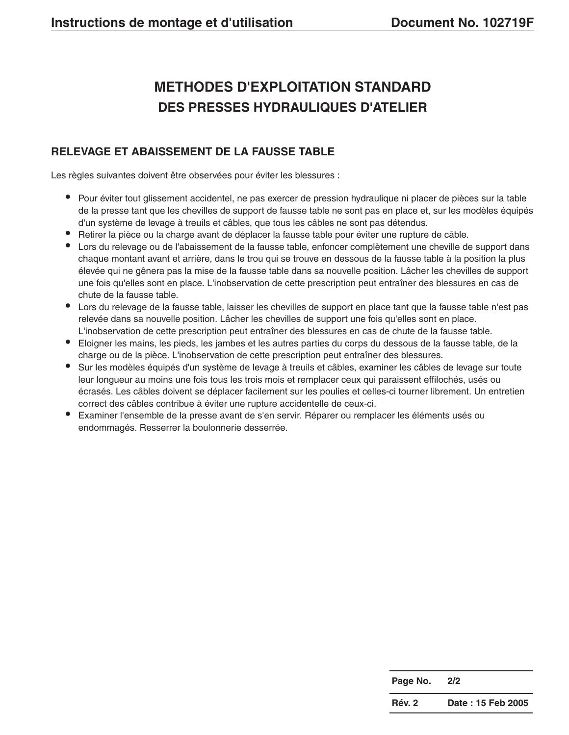## **METHODES D'EXPLOITATION STANDARD DES PRESSES HYDRAULIQUES D'ATELIER**

#### **RELEVAGE ET ABAISSEMENT DE LA FAUSSE TABLE**

Les règles suivantes doivent être observées pour éviter les blessures :

- **•** Pour éviter tout glissement accidentel, ne pas exercer de pression hydraulique ni placer de pièces sur la table de la presse tant que les chevilles de support de fausse table ne sont pas en place et, sur les modèles équipés d'un système de levage à treuils et câbles, que tous les câbles ne sont pas détendus.
- **•** Retirer la pièce ou la charge avant de déplacer la fausse table pour éviter une rupture de câble.
- **•** Lors du relevage ou de l'abaissement de la fausse table, enfoncer complètement une cheville de support dans chaque montant avant et arrière, dans le trou qui se trouve en dessous de la fausse table à la position la plus élevée qui ne gênera pas la mise de la fausse table dans sa nouvelle position. Lâcher les chevilles de support une fois qu'elles sont en place. L'inobservation de cette prescription peut entraîner des blessures en cas de chute de la fausse table.
- **•** Lors du relevage de la fausse table, laisser les chevilles de support en place tant que la fausse table n'est pas relevée dans sa nouvelle position. Lâcher les chevilles de support une fois qu'elles sont en place. L'inobservation de cette prescription peut entraîner des blessures en cas de chute de la fausse table.
- **•** Eloigner les mains, les pieds, les jambes et les autres parties du corps du dessous de la fausse table, de la charge ou de la pièce. L'inobservation de cette prescription peut entraîner des blessures.
- **•** Sur les modèles équipés d'un système de levage à treuils et câbles, examiner les câbles de levage sur toute leur longueur au moins une fois tous les trois mois et remplacer ceux qui paraissent effilochés, usés ou écrasés. Les câbles doivent se déplacer facilement sur les poulies et celles-ci tourner librement. Un entretien correct des câbles contribue à éviter une rupture accidentelle de ceux-ci.
- **•** Examiner l'ensemble de la presse avant de s'en servir. Réparer ou remplacer les éléments usés ou endommagés. Resserrer la boulonnerie desserrée.

| Page No. | 2/2               |
|----------|-------------------|
| Rév. 2   | Date: 15 Feb 2005 |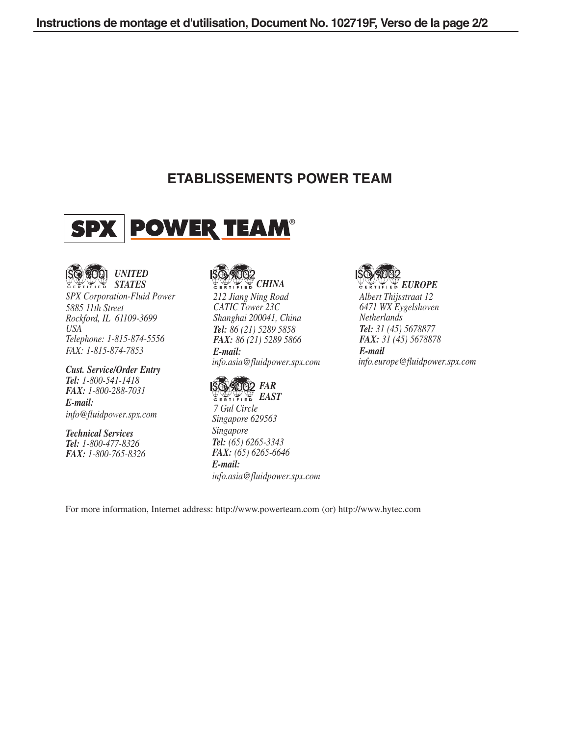### **ETABLISSEMENTS POWER TEAM**





*SPX Corporation-Fluid Power 5885 11th Street Rockford, IL 61109-3699 USA Telephone: 1-815-874-5556 FAX: 1-815-874-7853*

*Cust. Service/Order Entry Tel: 1-800-541-1418 FAX: 1-800-288-7031 E-mail: info@fluidpower.spx.com*

*Technical Services Tel: 1-800-477-8326 FAX: 1-800-765-8326*



*212 Jiang Ning Road CATIC Tower 23C Shanghai 200041, China Tel: 86 (21) 5289 5858 FAX: 86 (21) 5289 5866 E-mail: info.asia@fluidpower.spx.com*



*7 Gul Circle Singapore 629563 Singapore Tel: (65) 6265-3343 FAX: (65) 6265-6646 E-mail: info.asia@fluidpower.spx.com*



*Albert Thijsstraat 12 6471 WX Eygelshoven Netherlands Tel: 31 (45) 5678877 FAX: 31 (45) 5678878 E-mail: info.europe@fluidpower.spx.com*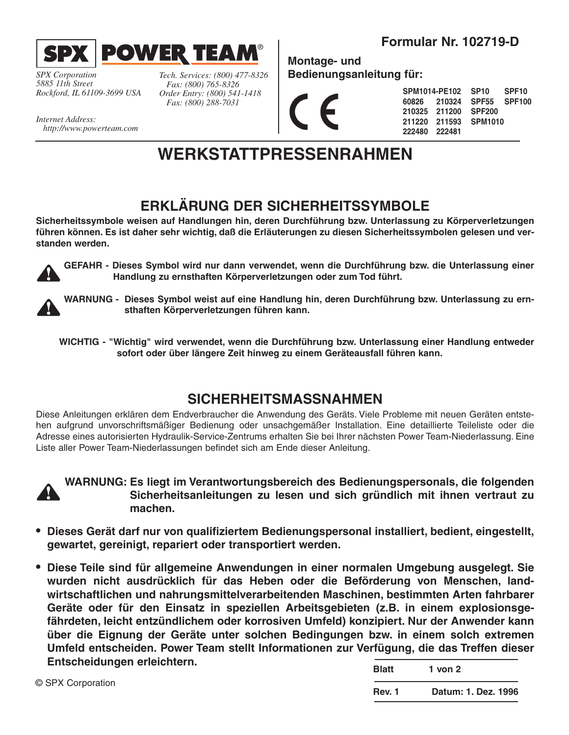

*SPX Corporation 5885 11th Street Rockford, IL 61109-3699 USA*

*Internet Address: http://www.powerteam.com* *Tech. Services: (800) 477-8326 Fax: (800) 765-8326 Order Entry: (800) 541-1418 Fax: (800) 288-7031*

**Formular Nr. 102719-D**

**Montage- und Bedienungsanleitung für:**

|               | SPM1014-PE102 SP10    |               | SPF <sub>10</sub> |
|---------------|-----------------------|---------------|-------------------|
|               | 60826 210324 SPF55    |               | SPF100            |
|               | 210325 211200         | <b>SPF200</b> |                   |
|               | 211220 211593 SPM1010 |               |                   |
| 222480 222481 |                       |               |                   |

## **WERKSTATTPRESSENRAHMEN**

®

## **ERKLÄRUNG DER SICHERHEITSSYMBOLE**

**Sicherheitssymbole weisen auf Handlungen hin, deren Durchführung bzw. Unterlassung zu Körperverletzungen führen können. Es ist daher sehr wichtig, daß die Erläuterungen zu diesen Sicherheitssymbolen gelesen und verstanden werden.**



**GEFAHR - Dieses Symbol wird nur dann verwendet, wenn die Durchführung bzw. die Unterlassung einer Handlung zu ernsthaften Körperverletzungen oder zum Tod führt.**



**WARNUNG - Dieses Symbol weist auf eine Handlung hin, deren Durchführung bzw. Unterlassung zu ernsthaften Körperverletzungen führen kann.**

**WICHTIG - "Wichtig" wird verwendet, wenn die Durchführung bzw. Unterlassung einer Handlung entweder sofort oder über längere Zeit hinweg zu einem Geräteausfall führen kann.**

### **SICHERHEITSMASSNAHMEN**

Diese Anleitungen erklären dem Endverbraucher die Anwendung des Geräts. Viele Probleme mit neuen Geräten entstehen aufgrund unvorschriftsmäßiger Bedienung oder unsachgemäßer Installation. Eine detaillierte Teileliste oder die Adresse eines autorisierten Hydraulik-Service-Zentrums erhalten Sie bei Ihrer nächsten Power Team-Niederlassung. Eine Liste aller Power Team-Niederlassungen befindet sich am Ende dieser Anleitung.



**WARNUNG: Es liegt im Verantwortungsbereich des Bedienungspersonals, die folgenden Sicherheitsanleitungen zu lesen und sich gründlich mit ihnen vertraut zu machen.**

- **• Dieses Gerät darf nur von qualifiziertem Bedienungspersonal installiert, bedient, eingestellt, gewartet, gereinigt, repariert oder transportiert werden.**
- **• Diese Teile sind für allgemeine Anwendungen in einer normalen Umgebung ausgelegt. Sie wurden nicht ausdrücklich für das Heben oder die Beförderung von Menschen, landwirtschaftlichen und nahrungsmittelverarbeitenden Maschinen, bestimmten Arten fahrbarer Geräte oder für den Einsatz in speziellen Arbeitsgebieten (z.B. in einem explosionsgefährdeten, leicht entzündlichem oder korrosiven Umfeld) konzipiert. Nur der Anwender kann über die Eignung der Geräte unter solchen Bedingungen bzw. in einem solch extremen Umfeld entscheiden. Power Team stellt Informationen zur Verfügung, die das Treffen dieser Entscheidungen erleichtern. Blatt** 1 von 0

|                   | Didll         | VUILZ               |
|-------------------|---------------|---------------------|
| © SPX Corporation |               |                     |
|                   | <b>Rev. 1</b> | Datum: 1. Dez. 1996 |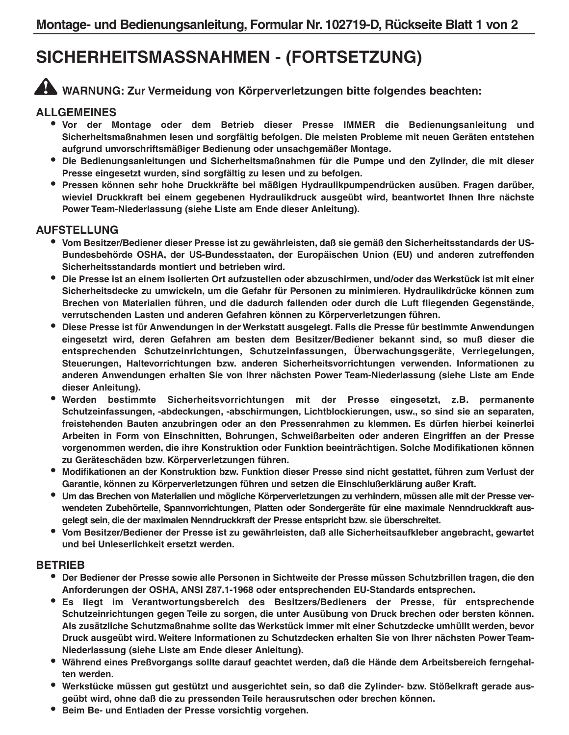## **SICHERHEITSMASSNAHMEN - (FORTSETZUNG)**

## **WARNUNG: Zur Vermeidung von Körperverletzungen bitte folgendes beachten:**

#### **ALLGEMEINES**

- **• Vor der Montage oder dem Betrieb dieser Presse IMMER die Bedienungsanleitung und Sicherheitsmaßnahmen lesen und sorgfältig befolgen. Die meisten Probleme mit neuen Geräten entstehen aufgrund unvorschriftsmäßiger Bedienung oder unsachgemäßer Montage.**
- **• Die Bedienungsanleitungen und Sicherheitsmaßnahmen für die Pumpe und den Zylinder, die mit dieser Presse eingesetzt wurden, sind sorgfältig zu lesen und zu befolgen.**
- **• Pressen können sehr hohe Druckkräfte bei mäßigen Hydraulikpumpendrücken ausüben. Fragen darüber, wieviel Druckkraft bei einem gegebenen Hydraulikdruck ausgeübt wird, beantwortet Ihnen Ihre nächste Power Team-Niederlassung (siehe Liste am Ende dieser Anleitung).**

#### **AUFSTELLUNG**

- **• Vom Besitzer/Bediener dieser Presse ist zu gewährleisten, daß sie gemäß den Sicherheitsstandards der US-Bundesbehörde OSHA, der US-Bundesstaaten, der Europäischen Union (EU) und anderen zutreffenden Sicherheitsstandards montiert und betrieben wird.**
- **• Die Presse ist an einem isolierten Ort aufzustellen oder abzuschirmen, und/oder das Werkstück ist mit einer Sicherheitsdecke zu umwickeln, um die Gefahr für Personen zu minimieren. Hydraulikdrücke können zum Brechen von Materialien führen, und die dadurch fallenden oder durch die Luft fliegenden Gegenstände, verrutschenden Lasten und anderen Gefahren können zu Körperverletzungen führen.**
- **• Diese Presse ist für Anwendungen in der Werkstatt ausgelegt. Falls die Presse für bestimmte Anwendungen eingesetzt wird, deren Gefahren am besten dem Besitzer/Bediener bekannt sind, so muß dieser die entsprechenden Schutzeinrichtungen, Schutzeinfassungen, Überwachungsgeräte, Verriegelungen, Steuerungen, Haltevorrichtungen bzw. anderen Sicherheitsvorrichtungen verwenden. Informationen zu anderen Anwendungen erhalten Sie von Ihrer nächsten Power Team-Niederlassung (siehe Liste am Ende dieser Anleitung).**
- **• Werden bestimmte Sicherheitsvorrichtungen mit der Presse eingesetzt, z.B. permanente Schutzeinfassungen, -abdeckungen, -abschirmungen, Lichtblockierungen, usw., so sind sie an separaten, freistehenden Bauten anzubringen oder an den Pressenrahmen zu klemmen. Es dürfen hierbei keinerlei Arbeiten in Form von Einschnitten, Bohrungen, Schweißarbeiten oder anderen Eingriffen an der Presse vorgenommen werden, die ihre Konstruktion oder Funktion beeinträchtigen. Solche Modifikationen können zu Geräteschäden bzw. Körperverletzungen führen.**
- **• Modifikationen an der Konstruktion bzw. Funktion dieser Presse sind nicht gestattet, führen zum Verlust der Garantie, können zu Körperverletzungen führen und setzen die Einschlußerklärung außer Kraft.**
- **• Um das Brechen von Materialien und mögliche Körperverletzungen zu verhindern, müssen alle mit der Presse verwendeten Zubehörteile, Spannvorrichtungen, Platten oder Sondergeräte für eine maximale Nenndruckkraft ausgelegt sein, die der maximalen Nenndruckkraft der Presse entspricht bzw. sie überschreitet.**
- **• Vom Besitzer/Bediener der Presse ist zu gewährleisten, daß alle Sicherheitsaufkleber angebracht, gewartet und bei Unleserlichkeit ersetzt werden.**

#### **BETRIEB**

- **• Der Bediener der Presse sowie alle Personen in Sichtweite der Presse müssen Schutzbrillen tragen, die den Anforderungen der OSHA, ANSI Z87.1-1968 oder entsprechenden EU-Standards entsprechen.**
- **• Es liegt im Verantwortungsbereich des Besitzers/Bedieners der Presse, für entsprechende Schutzeinrichtungen gegen Teile zu sorgen, die unter Ausübung von Druck brechen oder bersten können. Als zusätzliche Schutzmaßnahme sollte das Werkstück immer mit einer Schutzdecke umhüllt werden, bevor Druck ausgeübt wird. Weitere Informationen zu Schutzdecken erhalten Sie von Ihrer nächsten Power Team-Niederlassung (siehe Liste am Ende dieser Anleitung).**
- **• Während eines Preßvorgangs sollte darauf geachtet werden, daß die Hände dem Arbeitsbereich ferngehalten werden.**
- **• Werkstücke müssen gut gestützt und ausgerichtet sein, so daß die Zylinder- bzw. Stößelkraft gerade ausgeübt wird, ohne daß die zu pressenden Teile herausrutschen oder brechen können.**
- **• Beim Be- und Entladen der Presse vorsichtig vorgehen.**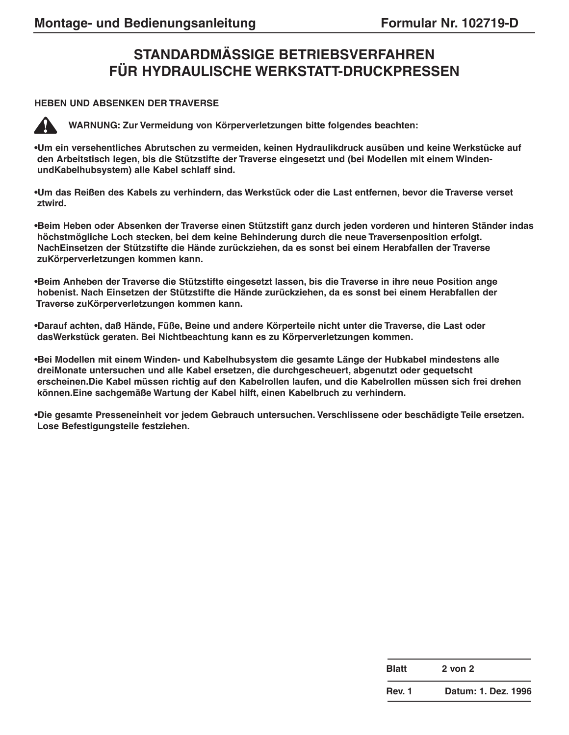## **STANDARDMÄSSIGE BETRIEBSVERFAHREN FÜR HYDRAULISCHE WERKSTATT-DRUCKPRESSEN**

#### **HEBEN UND ABSENKEN DER TRAVERSE**



**WARNUNG: Zur Vermeidung von Körperverletzungen bitte folgendes beachten:**

**•Um ein versehentliches Abrutschen zu vermeiden, keinen Hydraulikdruck ausüben und keine Werkstücke auf den Arbeitstisch legen, bis die Stützstifte der Traverse eingesetzt und (bei Modellen mit einem WindenundKabelhubsystem) alle Kabel schlaff sind.**

**•Um das Reißen des Kabels zu verhindern, das Werkstück oder die Last entfernen, bevor die Traverse verset ztwird.**

**•Beim Heben oder Absenken der Traverse einen Stützstift ganz durch jeden vorderen und hinteren Ständer indas höchstmögliche Loch stecken, bei dem keine Behinderung durch die neue Traversenposition erfolgt. NachEinsetzen der Stützstifte die Hände zurückziehen, da es sonst bei einem Herabfallen der Traverse zuKörperverletzungen kommen kann.**

**•Beim Anheben der Traverse die Stützstifte eingesetzt lassen, bis die Traverse in ihre neue Position ange hobenist. Nach Einsetzen der Stützstifte die Hände zurückziehen, da es sonst bei einem Herabfallen der Traverse zuKörperverletzungen kommen kann.**

**•Darauf achten, daß Hände, Füße, Beine und andere Körperteile nicht unter die Traverse, die Last oder dasWerkstück geraten. Bei Nichtbeachtung kann es zu Körperverletzungen kommen.**

**•Bei Modellen mit einem Winden- und Kabelhubsystem die gesamte Länge der Hubkabel mindestens alle dreiMonate untersuchen und alle Kabel ersetzen, die durchgescheuert, abgenutzt oder gequetscht erscheinen.Die Kabel müssen richtig auf den Kabelrollen laufen, und die Kabelrollen müssen sich frei drehen können.Eine sachgemäße Wartung der Kabel hilft, einen Kabelbruch zu verhindern.**

**•Die gesamte Presseneinheit vor jedem Gebrauch untersuchen. Verschlissene oder beschädigte Teile ersetzen. Lose Befestigungsteile festziehen.**

| <b>Blatt</b>  | $2$ von $2$         |
|---------------|---------------------|
| <b>Rev. 1</b> | Datum: 1. Dez. 1996 |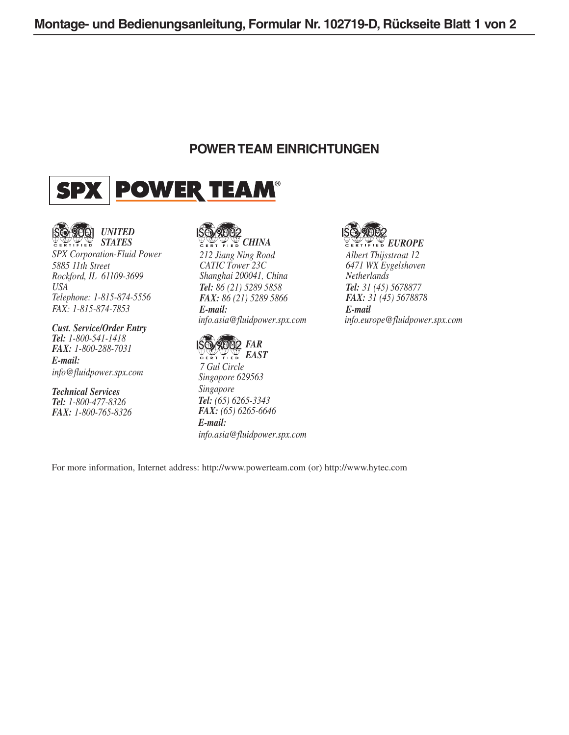### **POWER TEAM EINRICHTUNGEN**





*SPX Corporation-Fluid Power 5885 11th Street Rockford, IL 61109-3699 USA Telephone: 1-815-874-5556 FAX: 1-815-874-7853*

#### *Cust. Service/Order Entry Tel: 1-800-541-1418 FAX: 1-800-288-7031*

*E-mail: info@fluidpower.spx.com*

*Technical Services Tel: 1-800-477-8326 FAX: 1-800-765-8326*

*212 Jiang Ning Road CATIC Tower 23C Shanghai 200041, China Tel: 86 (21) 5289 5858 FAX: 86 (21) 5289 5866 E-mail: info.asia@fluidpower.spx.com*



*7 Gul Circle Singapore 629563 Singapore Tel: (65) 6265-3343 FAX: (65) 6265-6646 E-mail: info.asia@fluidpower.spx.com*



*Albert Thijsstraat 12 6471 WX Eygelshoven Netherlands Tel: 31 (45) 5678877 FAX: 31 (45) 5678878 E-mail: info.europe@fluidpower.spx.com*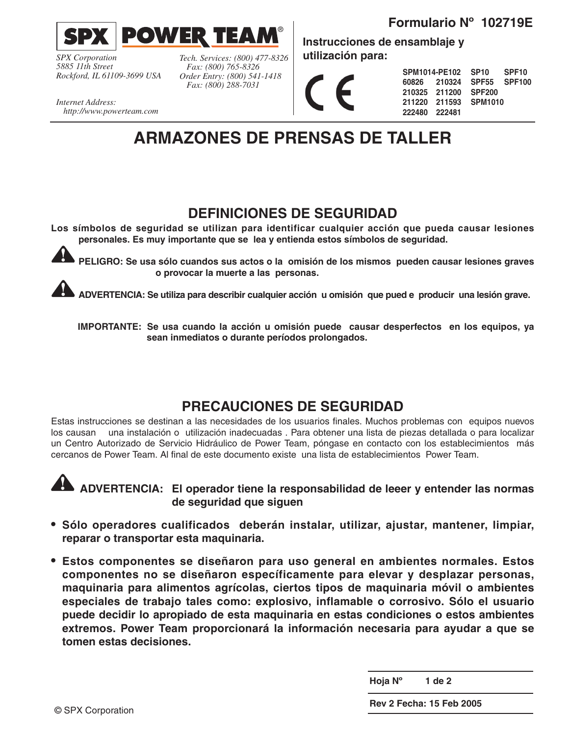



*SPX Corporation 5885 11th Street Rockford, IL 61109-3699 USA* *Tech. Services: (800) 477-8326 Fax: (800) 765-8326 Order Entry: (800) 541-1418 Fax: (800) 288-7031*

**Instrucciones de ensamblaje y utilización para:**

|               |                      | SPM1014-PE102 SP10 SPF10  |  |
|---------------|----------------------|---------------------------|--|
|               |                      | 60826 210324 SPF55 SPF100 |  |
|               | 210325 211200 SPF200 |                           |  |
|               |                      | 211220 211593 SPM1010     |  |
| 222480 222481 |                      |                           |  |

*Internet Address: http://www.powerteam.com*

## **ARMAZONES DE PRENSAS DE TALLER**

### **DEFINICIONES DE SEGURIDAD**

**Los símbolos de seguridad se utilizan para identificar cualquier acción que pueda causar lesiones personales. Es muy importante que se lea y entienda estos símbolos de seguridad.**

**PELIGRO: Se usa sólo cuandos sus actos o la omisión de los mismos pueden causar lesiones graves o provocar la muerte a las personas.**

**ADVERTENCIA: Se utiliza para describir cualquier acción u omisión que pued e producir una lesión grave.**

**IMPORTANTE: Se usa cuando la acción u omisión puede causar desperfectos en los equipos, ya sean inmediatos o durante períodos prolongados.**

### **PRECAUCIONES DE SEGURIDAD**

Estas instrucciones se destinan a las necesidades de los usuarios finales. Muchos problemas con equipos nuevos los causan una instalación o utilización inadecuadas . Para obtener una lista de piezas detallada o para localizar un Centro Autorizado de Servicio Hidráulico de Power Team, póngase en contacto con los establecimientos más cercanos de Power Team. Al final de este documento existe una lista de establecimientos Power Team.



**ADVERTENCIA: El operador tiene la responsabilidad de leeer y entender las normas de seguridad que siguen**

- **• Sólo operadores cualificados deberán instalar, utilizar, ajustar, mantener, limpiar, reparar o transportar esta maquinaria.**
- **• Estos componentes se diseñaron para uso general en ambientes normales. Estos componentes no se diseñaron específicamente para elevar y desplazar personas, maquinaria para alimentos agrícolas, ciertos tipos de maquinaria móvil o ambientes especiales de trabajo tales como: explosivo, inflamable o corrosivo. Sólo el usuario puede decidir lo apropiado de esta maquinaria en estas condiciones o estos ambientes extremos. Power Team proporcionará la información necesaria para ayudar a que se tomen estas decisiones.**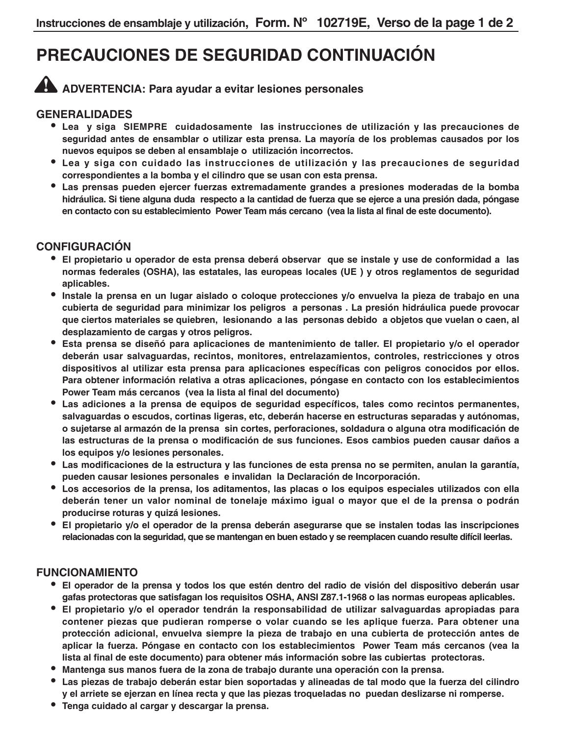## **PRECAUCIONES DE SEGURIDAD CONTINUACIÓN**

## **ADVERTENCIA: Para ayudar a evitar lesiones personales**

#### **GENERALIDADES**

- **• Lea y siga SIEMPRE cuidadosamente las instrucciones de utilización y las precauciones de seguridad antes de ensamblar o utilizar esta prensa. La mayoría de los problemas causados por los nuevos equipos se deben al ensamblaje o utilización incorrectos.**
- **• Lea y siga con cuidado las instrucciones de utilización y las precauciones de seguridad correspondientes a la bomba y el cilindro que se usan con esta prensa.**
- **• Las prensas pueden ejercer fuerzas extremadamente grandes a presiones moderadas de la bomba hidráulica. Si tiene alguna duda respecto a la cantidad de fuerza que se ejerce a una presión dada, póngase en contacto con su establecimiento Power Team más cercano (vea la lista al final de este documento).**

#### **CONFIGURACIÓN**

- **• El propietario u operador de esta prensa deberá observar que se instale y use de conformidad a las normas federales (OSHA), las estatales, las europeas locales (UE ) y otros reglamentos de seguridad aplicables.**
- **• Instale la prensa en un lugar aislado o coloque protecciones y/o envuelva la pieza de trabajo en una cubierta de seguridad para minimizar los peligros a personas . La presión hidráulica puede provocar que ciertos materiales se quiebren, lesionando a las personas debido a objetos que vuelan o caen, al desplazamiento de cargas y otros peligros.**
- **• Esta prensa se diseñó para aplicaciones de mantenimiento de taller. El propietario y/o el operador deberán usar salvaguardas, recintos, monitores, entrelazamientos, controles, restricciones y otros dispositivos al utilizar esta prensa para aplicaciones específicas con peligros conocidos por ellos. Para obtener información relativa a otras aplicaciones, póngase en contacto con los establecimientos Power Team más cercanos (vea la lista al final del documento)**
- **• Las adiciones a la prensa de equipos de seguridad específicos, tales como recintos permanentes, salvaguardas o escudos, cortinas ligeras, etc, deberán hacerse en estructuras separadas y autónomas, o sujetarse al armazón de la prensa sin cortes, perforaciones, soldadura o alguna otra modificación de las estructuras de la prensa o modificación de sus funciones. Esos cambios pueden causar daños a los equipos y/o lesiones personales.**
- **• Las modificaciones de la estructura y las funciones de esta prensa no se permiten, anulan la garantía, pueden causar lesiones personales e invalidan la Declaración de Incorporación.**
- **• Los accesorios de la prensa, los aditamentos, las placas o los equipos especiales utilizados con ella deberán tener un valor nominal de tonelaje máximo igual o mayor que el de la prensa o podrán producirse roturas y quizá lesiones.**
- **• El propietario y/o el operador de la prensa deberán asegurarse que se instalen todas las inscripciones relacionadas con la seguridad, que se mantengan en buen estado y se reemplacen cuando resulte difícil leerlas.**

#### **FUNCIONAMIENTO**

- **• El operador de la prensa y todos los que estén dentro del radio de visión del dispositivo deberán usar gafas protectoras que satisfagan los requisitos OSHA, ANSI Z87.1-1968 o las normas europeas aplicables.**
- **• El propietario y/o el operador tendrán la responsabilidad de utilizar salvaguardas apropiadas para contener piezas que pudieran romperse o volar cuando se les aplique fuerza. Para obtener una protección adicional, envuelva siempre la pieza de trabajo en una cubierta de protección antes de aplicar la fuerza. Póngase en contacto con los establecimientos Power Team más cercanos (vea la lista al final de este documento) para obtener más información sobre las cubiertas protectoras.**
- **• Mantenga sus manos fuera de la zona de trabajo durante una operación con la prensa.**
- **• Las piezas de trabajo deberán estar bien soportadas y alineadas de tal modo que la fuerza del cilindro y el arriete se ejerzan en línea recta y que las piezas troqueladas no puedan deslizarse ni romperse.**
- **• Tenga cuidado al cargar y descargar la prensa.**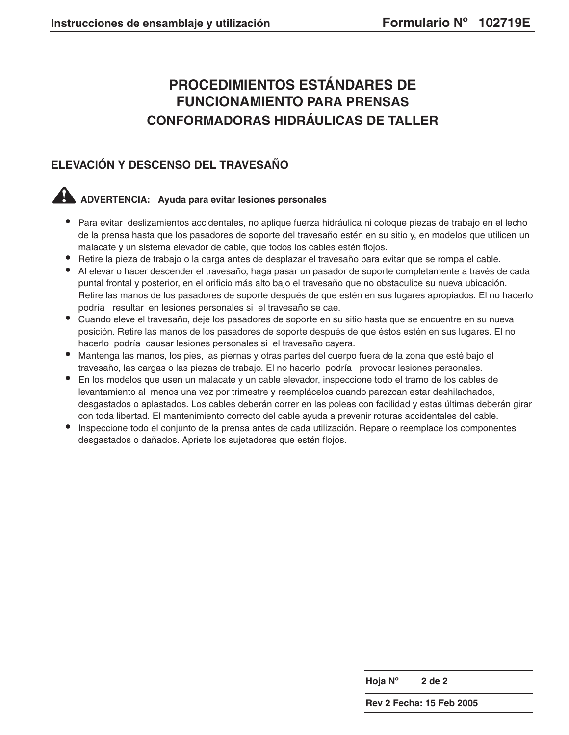## **PROCEDIMIENTOS ESTÁNDARES DE FUNCIONAMIENTO PARA PRENSAS CONFORMADORAS HIDRÁULICAS DE TALLER**

### **ELEVACIÓN Y DESCENSO DEL TRAVESAÑO**

## **ADVERTENCIA: Ayuda para evitar lesiones personales**

- **•** Para evitar deslizamientos accidentales, no aplique fuerza hidráulica ni coloque piezas de trabajo en el lecho de la prensa hasta que los pasadores de soporte del travesaño estén en su sitio y, en modelos que utilicen un malacate y un sistema elevador de cable, que todos los cables estén flojos.
- **•** Retire la pieza de trabajo o la carga antes de desplazar el travesaño para evitar que se rompa el cable.
- **•** Al elevar o hacer descender el travesaño, haga pasar un pasador de soporte completamente a través de cada puntal frontal y posterior, en el orificio más alto bajo el travesaño que no obstaculice su nueva ubicación. Retire las manos de los pasadores de soporte después de que estén en sus lugares apropiados. El no hacerlo podría resultar en lesiones personales si el travesaño se cae.
- **•** Cuando eleve el travesaño, deje los pasadores de soporte en su sitio hasta que se encuentre en su nueva posición. Retire las manos de los pasadores de soporte después de que éstos estén en sus lugares. El no hacerlo podría causar lesiones personales si el travesaño cayera.
- **•** Mantenga las manos, los pies, las piernas y otras partes del cuerpo fuera de la zona que esté bajo el travesaño, las cargas o las piezas de trabajo. El no hacerlo podría provocar lesiones personales.
- **•** En los modelos que usen un malacate y un cable elevador, inspeccione todo el tramo de los cables de levantamiento al menos una vez por trimestre y reemplácelos cuando parezcan estar deshilachados, desgastados o aplastados. Los cables deberán correr en las poleas con facilidad y estas últimas deberán girar con toda libertad. El mantenimiento correcto del cable ayuda a prevenir roturas accidentales del cable.
- **•** Inspeccione todo el conjunto de la prensa antes de cada utilización. Repare o reemplace los componentes desgastados o dañados. Apriete los sujetadores que estén flojos.

**Hoja Nº 2 de 2**

**Rev 2 Fecha: 15 Feb 2005**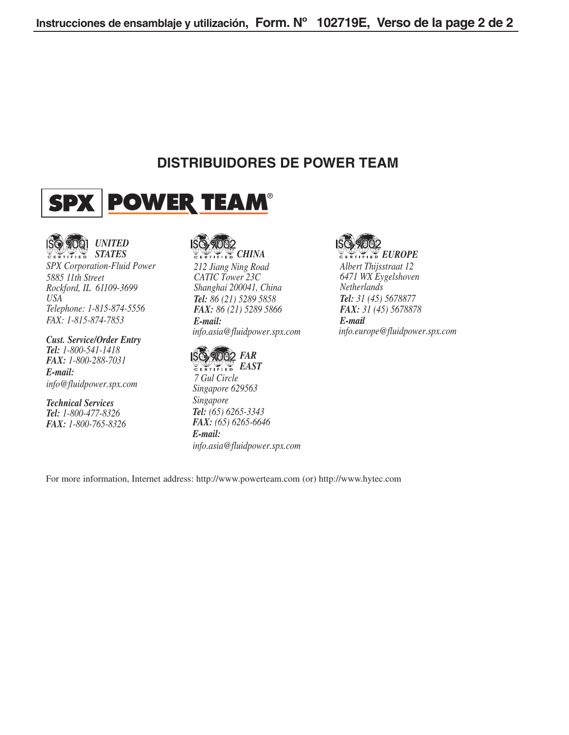### **DISTRIBUIDORES DE POWER TEAM**





*SPX Corporation-Fluid Power 5885 11th Street Rockford, IL 61109-3699 USA Telephone: 1-815-874-5556 FAX: 1-815-874-7853*

#### *Cust. Service/Order Entry Tel: 1-800-541-1418 FAX: 1-800-288-7031 E-mail:*

*info@fluidpower.spx.com*

*Technical Services Tel: 1-800-477-8326 FAX: 1-800-765-8326*



*212 Jiang Ning Road CATIC Tower 23C Shanghai 200041, China Tel: 86 (21) 5289 5858 FAX: 86 (21) 5289 5866 E-mail: info.asia@fluidpower.spx.com*



*EAST 7 Gul Circle Singapore 629563 Singapore Tel: (65) 6265-3343 FAX: (65) 6265-6646 E-mail: info.asia@fluidpower.spx.com*



*Albert Thijsstraat 12 6471 WX Eygelshoven Netherlands Tel: 31 (45) 5678877 FAX: 31 (45) 5678878 E-mail: info.europe@fluidpower.spx.com*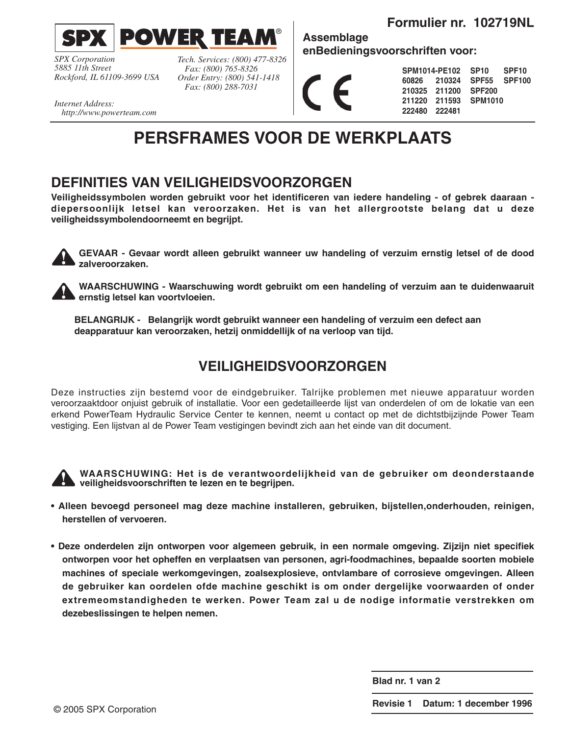**Formulier nr. 102719NL**



*SPX Corporation 5885 11th Street Rockford, IL 61109-3699 USA*

*Tech. Services: (800) 477-8326 Fax: (800) 765-8326 Order Entry: (800) 541-1418 Fax: (800) 288-7031*

**enBedieningsvoorschriften voor:**

**Assemblage**

**SPM1014-PE102 60826 210324 210325 211200 211220 211593 222480 222481 SP10 SPF10 SPF55 SPF100 SPF200 SPM1010**

*Internet Address: http://www.powerteam.com*

## **PERSFRAMES VOOR DE WERKPLAATS**

®

### **DEFINITIES VAN VEILIGHEIDSVOORZORGEN**

**Veiligheidssymbolen worden gebruikt voor het identificeren van iedere handeling - of gebrek daaraan diepersoonlijk letsel kan veroorzaken. Het is van het allergrootste belang dat u deze veiligheidssymbolendoorneemt en begrijpt.**

**GEVAAR - Gevaar wordt alleen gebruikt wanneer uw handeling of verzuim ernstig letsel of de dood zalveroorzaken.**

**WAARSCHUWING - Waarschuwing wordt gebruikt om een handeling of verzuim aan te duidenwaaruit ernstig letsel kan voortvloeien.**

**BELANGRIJK - Belangrijk wordt gebruikt wanneer een handeling of verzuim een defect aan deapparatuur kan veroorzaken, hetzij onmiddellijk of na verloop van tijd.**

### **VEILIGHEIDSVOORZORGEN**

Deze instructies zijn bestemd voor de eindgebruiker. Talrijke problemen met nieuwe apparatuur worden veroorzaaktdoor onjuist gebruik of installatie. Voor een gedetailleerde lijst van onderdelen of om de lokatie van een erkend PowerTeam Hydraulic Service Center te kennen, neemt u contact op met de dichtstbijzijnde Power Team vestiging. Een lijstvan al de Power Team vestigingen bevindt zich aan het einde van dit document.



**WAARSCHUWING: Het is de verantwoordelijkheid van de gebruiker om deonderstaande veiligheidsvoorschriften te lezen en te begrijpen.**

- **Alleen bevoegd personeel mag deze machine installeren, gebruiken, bijstellen,onderhouden, reinigen, herstellen of vervoeren.**
- **Deze onderdelen zijn ontworpen voor algemeen gebruik, in een normale omgeving. Zijzijn niet specifiek ontworpen voor het opheffen en verplaatsen van personen, agri-foodmachines, bepaalde soorten mobiele machines of speciale werkomgevingen, zoalsexplosieve, ontvlambare of corrosieve omgevingen. Alleen de gebruiker kan oordelen ofde machine geschikt is om onder dergelijke voorwaarden of onder extremeomstandigheden te werken. Power Team zal u de nodige informatie verstrekken om dezebeslissingen te helpen nemen.**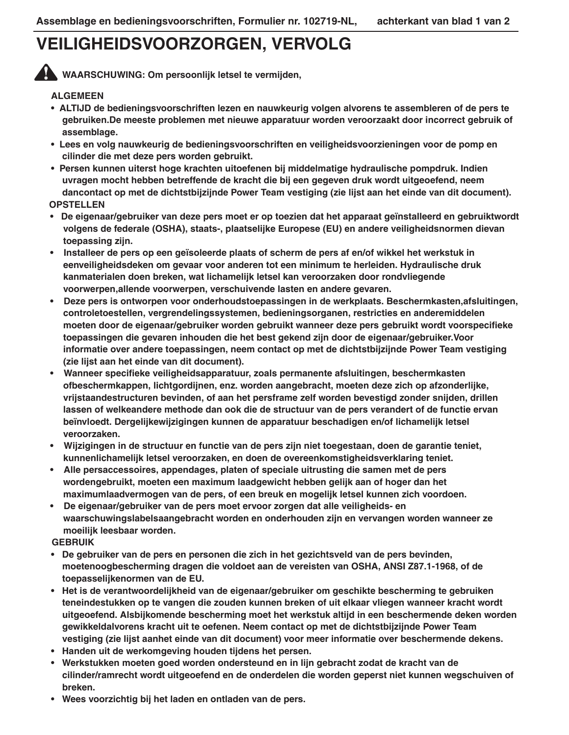## **VEILIGHEIDSVOORZORGEN, VERVOLG**

**WAARSCHUWING: Om persoonlijk letsel te vermijden,**

#### **ALGEMEEN**

- **ALTIJD de bedieningsvoorschriften lezen en nauwkeurig volgen alvorens te assembleren of de pers te gebruiken.De meeste problemen met nieuwe apparatuur worden veroorzaakt door incorrect gebruik of assemblage.**
- **Lees en volg nauwkeurig de bedieningsvoorschriften en veiligheidsvoorzieningen voor de pomp en cilinder die met deze pers worden gebruikt.**
- **Persen kunnen uiterst hoge krachten uitoefenen bij middelmatige hydraulische pompdruk. Indien uvragen mocht hebben betreffende de kracht die bij een gegeven druk wordt uitgeoefend, neem dancontact op met de dichtstbijzijnde Power Team vestiging (zie lijst aan het einde van dit document). OPSTELLEN**
- **De eigenaar/gebruiker van deze pers moet er op toezien dat het apparaat geïnstalleerd en gebruiktwordt volgens de federale (OSHA), staats-, plaatselijke Europese (EU) en andere veiligheidsnormen dievan toepassing zijn.**
- **Installeer de pers op een geïsoleerde plaats of scherm de pers af en/of wikkel het werkstuk in eenveiligheidsdeken om gevaar voor anderen tot een minimum te herleiden. Hydraulische druk kanmaterialen doen breken, wat lichamelijk letsel kan veroorzaken door rondvliegende voorwerpen,allende voorwerpen, verschuivende lasten en andere gevaren.**
- **Deze pers is ontworpen voor onderhoudstoepassingen in de werkplaats. Beschermkasten,afsluitingen, controletoestellen, vergrendelingssystemen, bedieningsorganen, restricties en anderemiddelen moeten door de eigenaar/gebruiker worden gebruikt wanneer deze pers gebruikt wordt voorspecifieke toepassingen die gevaren inhouden die het best gekend zijn door de eigenaar/gebruiker.Voor informatie over andere toepassingen, neem contact op met de dichtstbijzijnde Power Team vestiging (zie lijst aan het einde van dit document).**
- **Wanneer specifieke veiligheidsapparatuur, zoals permanente afsluitingen, beschermkasten ofbeschermkappen, lichtgordijnen, enz. worden aangebracht, moeten deze zich op afzonderlijke, vrijstaandestructuren bevinden, of aan het persframe zelf worden bevestigd zonder snijden, drillen lassen of welkeandere methode dan ook die de structuur van de pers verandert of de functie ervan beïnvloedt. Dergelijkewijzigingen kunnen de apparatuur beschadigen en/of lichamelijk letsel veroorzaken.**
- **Wijzigingen in de structuur en functie van de pers zijn niet toegestaan, doen de garantie teniet, kunnenlichamelijk letsel veroorzaken, en doen de overeenkomstigheidsverklaring teniet.**
- **Alle persaccessoires, appendages, platen of speciale uitrusting die samen met de pers wordengebruikt, moeten een maximum laadgewicht hebben gelijk aan of hoger dan het maximumlaadvermogen van de pers, of een breuk en mogelijk letsel kunnen zich voordoen.**
- **De eigenaar/gebruiker van de pers moet ervoor zorgen dat alle veiligheids- en waarschuwingslabelsaangebracht worden en onderhouden zijn en vervangen worden wanneer ze moeilijk leesbaar worden.**

#### **GEBRUIK**

- **De gebruiker van de pers en personen die zich in het gezichtsveld van de pers bevinden, moetenoogbescherming dragen die voldoet aan de vereisten van OSHA, ANSI Z87.1-1968, of de toepasselijkenormen van de EU.**
- **Het is de verantwoordelijkheid van de eigenaar/gebruiker om geschikte bescherming te gebruiken teneindestukken op te vangen die zouden kunnen breken of uit elkaar vliegen wanneer kracht wordt uitgeoefend. Alsbijkomende bescherming moet het werkstuk altijd in een beschermende deken worden gewikkeldalvorens kracht uit te oefenen. Neem contact op met de dichtstbijzijnde Power Team vestiging (zie lijst aanhet einde van dit document) voor meer informatie over beschermende dekens.**
- **Handen uit de werkomgeving houden tijdens het persen.**
- **Werkstukken moeten goed worden ondersteund en in lijn gebracht zodat de kracht van de cilinder/ramrecht wordt uitgeoefend en de onderdelen die worden geperst niet kunnen wegschuiven of breken.**
- **Wees voorzichtig bij het laden en ontladen van de pers.**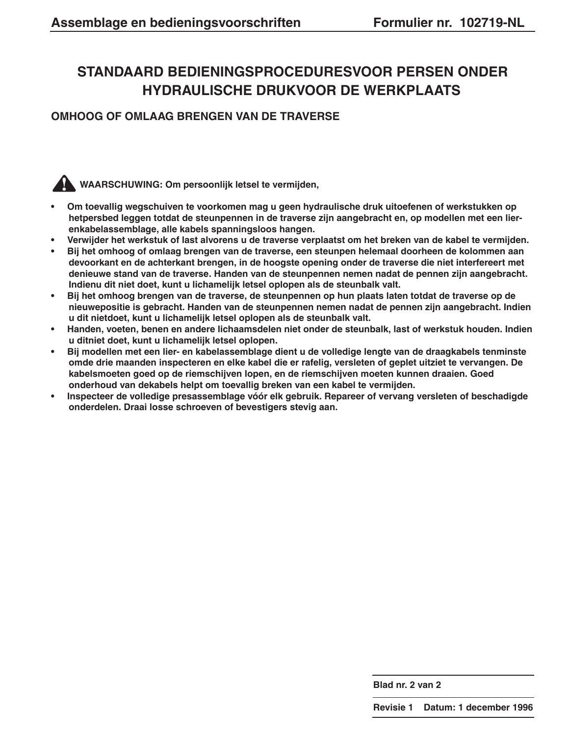## **STANDAARD BEDIENINGSPROCEDURESVOOR PERSEN ONDER HYDRAULISCHE DRUKVOOR DE WERKPLAATS**

#### **OMHOOG OF OMLAAG BRENGEN VAN DE TRAVERSE**

#### **WAARSCHUWING: Om persoonlijk letsel te vermijden,**

- **Om toevallig wegschuiven te voorkomen mag u geen hydraulische druk uitoefenen of werkstukken op hetpersbed leggen totdat de steunpennen in de traverse zijn aangebracht en, op modellen met een lierenkabelassemblage, alle kabels spanningsloos hangen.**
- **Verwijder het werkstuk of last alvorens u de traverse verplaatst om het breken van de kabel te vermijden.**
- **Bij het omhoog of omlaag brengen van de traverse, een steunpen helemaal doorheen de kolommen aan devoorkant en de achterkant brengen, in de hoogste opening onder de traverse die niet interfereert met denieuwe stand van de traverse. Handen van de steunpennen nemen nadat de pennen zijn aangebracht. Indienu dit niet doet, kunt u lichamelijk letsel oplopen als de steunbalk valt.**
- **Bij het omhoog brengen van de traverse, de steunpennen op hun plaats laten totdat de traverse op de nieuwepositie is gebracht. Handen van de steunpennen nemen nadat de pennen zijn aangebracht. Indien u dit nietdoet, kunt u lichamelijk letsel oplopen als de steunbalk valt.**
- **Handen, voeten, benen en andere lichaamsdelen niet onder de steunbalk, last of werkstuk houden. Indien u ditniet doet, kunt u lichamelijk letsel oplopen.**
- **Bij modellen met een lier- en kabelassemblage dient u de volledige lengte van de draagkabels tenminste omde drie maanden inspecteren en elke kabel die er rafelig, versleten of geplet uitziet te vervangen. De kabelsmoeten goed op de riemschijven lopen, en de riemschijven moeten kunnen draaien. Goed onderhoud van dekabels helpt om toevallig breken van een kabel te vermijden.**
- **Inspecteer de volledige presassemblage vóór elk gebruik. Repareer of vervang versleten of beschadigde onderdelen. Draai losse schroeven of bevestigers stevig aan.**

**Blad nr. 2 van 2**

**Revisie 1 Datum: 1 december 1996**